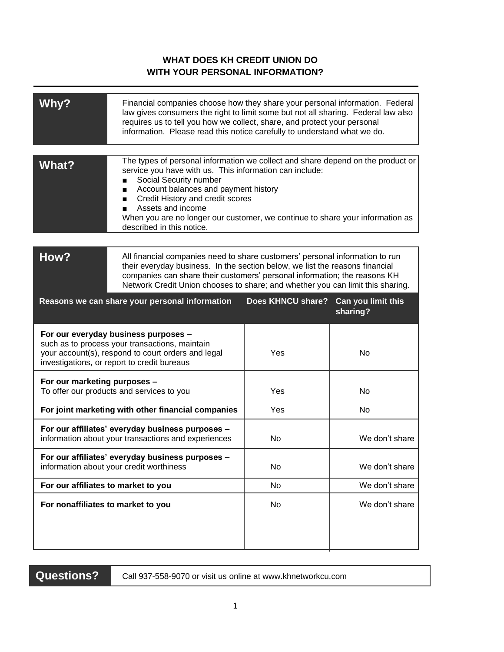## **FWHAT DOES KH CREDIT UNION DO WITH YOUR PERSONAL INFORMATION?**

| <b>Why?</b>                                                                                                                                                                                 | Financial companies choose how they share your personal information. Federal<br>law gives consumers the right to limit some but not all sharing. Federal law also<br>requires us to tell you how we collect, share, and protect your personal<br>information. Please read this notice carefully to understand what we do.                                                                |                   |                                |
|---------------------------------------------------------------------------------------------------------------------------------------------------------------------------------------------|------------------------------------------------------------------------------------------------------------------------------------------------------------------------------------------------------------------------------------------------------------------------------------------------------------------------------------------------------------------------------------------|-------------------|--------------------------------|
| What?                                                                                                                                                                                       | The types of personal information we collect and share depend on the product or<br>service you have with us. This information can include:<br>Social Security number<br>Account balances and payment history<br>п<br>Credit History and credit scores<br>Assets and income<br>When you are no longer our customer, we continue to share your information as<br>described in this notice. |                   |                                |
| How?                                                                                                                                                                                        | All financial companies need to share customers' personal information to run<br>their everyday business. In the section below, we list the reasons financial<br>companies can share their customers' personal information; the reasons KH<br>Network Credit Union chooses to share; and whether you can limit this sharing.                                                              |                   |                                |
| Reasons we can share your personal information                                                                                                                                              |                                                                                                                                                                                                                                                                                                                                                                                          | Does KHNCU share? | Can you limit this<br>sharing? |
| For our everyday business purposes -<br>such as to process your transactions, maintain<br>your account(s), respond to court orders and legal<br>investigations, or report to credit bureaus |                                                                                                                                                                                                                                                                                                                                                                                          | Yes               | No                             |
| For our marketing purposes -<br>To offer our products and services to you                                                                                                                   |                                                                                                                                                                                                                                                                                                                                                                                          | Yes               | No                             |
| For joint marketing with other financial companies                                                                                                                                          |                                                                                                                                                                                                                                                                                                                                                                                          | Yes               | No                             |
| For our affiliates' everyday business purposes -<br>information about your transactions and experiences                                                                                     |                                                                                                                                                                                                                                                                                                                                                                                          | No                | We don't share                 |
| For our affiliates' everyday business purposes -<br>information about your credit worthiness                                                                                                |                                                                                                                                                                                                                                                                                                                                                                                          | No                | We don't share                 |
| For our affiliates to market to you                                                                                                                                                         |                                                                                                                                                                                                                                                                                                                                                                                          | No                | We don't share                 |
| For nonaffiliates to market to you                                                                                                                                                          |                                                                                                                                                                                                                                                                                                                                                                                          | No                | We don't share                 |

**Questions?**

Call 937-558-9070 or visit us online at www.khnetworkcu.com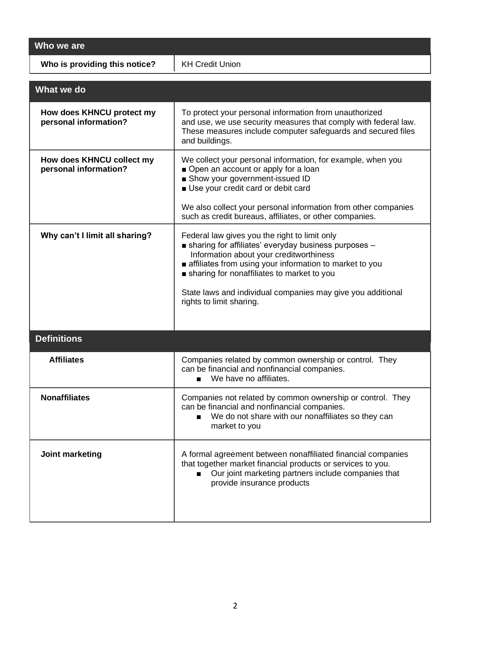**Who we are**

**Who is providing this notice?** | KH Credit Union

| What we do                                         |                                                                                                                                                                                                                                                                                                                                                      |  |  |
|----------------------------------------------------|------------------------------------------------------------------------------------------------------------------------------------------------------------------------------------------------------------------------------------------------------------------------------------------------------------------------------------------------------|--|--|
| How does KHNCU protect my<br>personal information? | To protect your personal information from unauthorized<br>and use, we use security measures that comply with federal law.<br>These measures include computer safeguards and secured files<br>and buildings.                                                                                                                                          |  |  |
| How does KHNCU collect my<br>personal information? | We collect your personal information, for example, when you<br>Open an account or apply for a loan<br>Show your government-issued ID<br>Use your credit card or debit card                                                                                                                                                                           |  |  |
|                                                    | We also collect your personal information from other companies<br>such as credit bureaus, affiliates, or other companies.                                                                                                                                                                                                                            |  |  |
| Why can't I limit all sharing?                     | Federal law gives you the right to limit only<br>sharing for affiliates' everyday business purposes -<br>Information about your creditworthiness<br>affiliates from using your information to market to you<br>sharing for nonaffiliates to market to you<br>State laws and individual companies may give you additional<br>rights to limit sharing. |  |  |
| <b>Definitions</b>                                 |                                                                                                                                                                                                                                                                                                                                                      |  |  |
|                                                    |                                                                                                                                                                                                                                                                                                                                                      |  |  |
| <b>Affiliates</b>                                  | Companies related by common ownership or control. They<br>can be financial and nonfinancial companies.<br>We have no affiliates.<br>$\blacksquare$                                                                                                                                                                                                   |  |  |
| <b>Nonaffiliates</b>                               | Companies not related by common ownership or control. They<br>can be financial and nonfinancial companies.<br>We do not share with our nonaffiliates so they can<br>$\blacksquare$<br>market to you                                                                                                                                                  |  |  |
| Joint marketing                                    | A formal agreement between nonaffiliated financial companies<br>that together market financial products or services to you.<br>Our joint marketing partners include companies that<br>$\blacksquare$<br>provide insurance products                                                                                                                   |  |  |